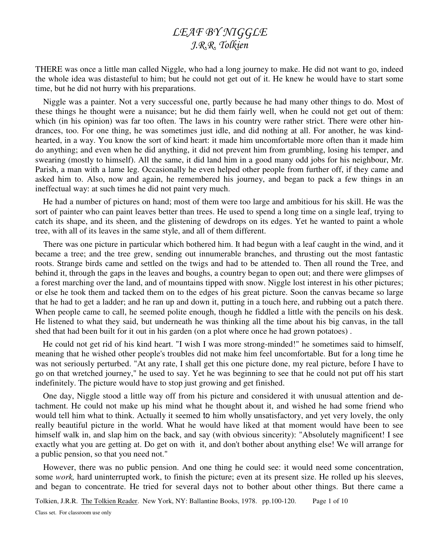## LEAF BY NIGGLE J.R.R. Tolkien

THERE was once a little man called Niggle, who had a long journey to make. He did not want to go, indeed the whole idea was distasteful to him; but he could not get out of it. He knew he would have to start some time, but he did not hurry with his preparations.

Niggle was a painter. Not a very successful one, partly because he had many other things to do. Most of these things he thought were a nuisance; but he did them fairly well, when he could not get out of them: which (in his opinion) was far too often. The laws in his country were rather strict. There were other hindrances, too. For one thing, he was sometimes just idle, and did nothing at all. For another, he was kindhearted, in a way. You know the sort of kind heart: it made him uncomfortable more often than it made him do anything; and even when he did anything, it did not prevent him from grumbling, losing his temper, and swearing (mostly to himself). All the same, it did land him in a good many odd jobs for his neighbour, Mr. Parish, a man with a lame leg. Occasionally he even helped other people from further off, if they came and asked him to. Also, now and again, he remembered his journey, and began to pack a few things in an ineffectual way: at such times he did not paint very much.

He had a number of pictures on hand; most of them were too large and ambitious for his skill. He was the sort of painter who can paint leaves better than trees. He used to spend a long time on a single leaf, trying to catch its shape, and its sheen, and the glistening of dewdrops on its edges. Yet he wanted to paint a whole tree, with all of its leaves in the same style, and all of them different.

There was one picture in particular which bothered him. It had begun with a leaf caught in the wind, and it became a tree; and the tree grew, sending out innumerable branches, and thrusting out the most fantastic roots. Strange birds came and settled on the twigs and had to be attended to. Then all round the Tree, and behind it, through the gaps in the leaves and boughs, a country began to open out; and there were glimpses of a forest marching over the land, and of mountains tipped with snow. Niggle lost interest in his other pictures; or else he took them and tacked them on to the edges of his great picture. Soon the canvas became so large that he had to get a ladder; and he ran up and down it, putting in a touch here, and rubbing out a patch there. When people came to call, he seemed polite enough, though he fiddled a little with the pencils on his desk. He listened to what they said, but underneath he was thinking all the time about his big canvas, in the tall shed that had been built for it out in his garden (on a plot where once he had grown potatoes) .

He could not get rid of his kind heart. "I wish I was more strong-minded!" he sometimes said to himself, meaning that he wished other people's troubles did not make him feel uncomfortable. But for a long time he was not seriously perturbed. "At any rate, I shall get this one picture done, my real picture, before I have to go on that wretched journey," he used to say. Yet he was beginning to see that he could not put off his start indefinitely. The picture would have to stop just growing and get finished.

One day, Niggle stood a little way off from his picture and considered it with unusual attention and detachment. He could not make up his mind what he thought about it, and wished he had some friend who would tell him what to think. Actually it seemed to him wholly unsatisfactory, and yet very lovely, the only really beautiful picture in the world. What he would have liked at that moment would have been to see himself walk in, and slap him on the back, and say (with obvious sincerity): "Absolutely magnificent! I see exactly what you are getting at. Do get on with it, and don't bother about anything else! We will arrange for a public pension, so that you need not."

However, there was no public pension. And one thing he could see: it would need some concentration, some *work*, hard uninterrupted work, to finish the picture; even at its present size. He rolled up his sleeves, and began to concentrate. He tried for several days not to bother about other things. But there came a

Tolkien, J.R.R. The Tolkien Reader. New York, NY: Ballantine Books, 1978. pp.100-120. Page 1 of 10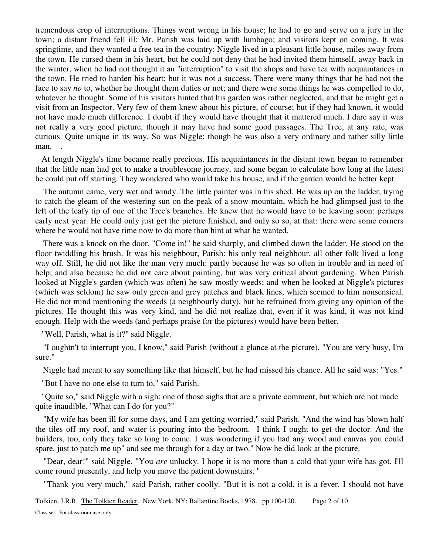tremendous crop of interruptions. Things went wrong in his house; he had to go and serve on a jury in the town; a distant friend fell ill; Mr. Parish was laid up with lumbago; and visitors kept on coming. It was springtime, and they wanted a free tea in the country: Niggle lived in a pleasant little house, miles away from the town. He cursed them in his heart, but he could not deny that he had invited them himself, away back in the winter, when he had not thought it an "interruption" to visit the shops and have tea with acquaintances in the town. He tried to harden his heart; but it was not a success. There were many things that he had not the face to say *no* to, whether he thought them duties or not; and there were some things he was compelled to do, whatever he thought. Some of his visitors hinted that his garden was rather neglected, and that he might get a visit from an Inspector. Very few of them knew about his picture, of course; but if they had known, it would not have made much difference. I doubt if they would have thought that it mattered much. I dare say it was not really a very good picture, though it may have had some good passages. The Tree, at any rate, was curious. Quite unique in its way. So was Niggle; though he was also a very ordinary and rather silly little man.

 At length Niggle's time became really precious. His acquaintances in the distant town began to remember that the little man had got to make a troublesome journey, and some began to calculate how long at the latest he could put off starting. They wondered who would take his house, and if the garden would be better kept.

The autumn came, very wet and windy. The little painter was in his shed. He was up on the ladder, trying to catch the gleam of the westering sun on the peak of a snow-mountain, which he had glimpsed just to the left of the leafy tip of one of the Tree's branches. He knew that he would have to be leaving soon: perhaps early next year. He could only just get the picture finished, and only so so, at that: there were some corners where he would not have time now to do more than hint at what he wanted.

There was a knock on the door. "Come in!" he said sharply, and climbed down the ladder. He stood on the floor twiddling his brush. It was his neighbour, Parish: his only real neighbour, all other folk lived a long way off. Still, he did not like the man very much: partly because he was so often in trouble and in need of help; and also because he did not care about painting, but was very critical about gardening. When Parish looked at Niggle's garden (which was often) he saw mostly weeds; and when he looked at Niggle's pictures (which was seldom) he saw only green and grey patches and black lines, which seemed to him nonsensical. He did not mind mentioning the weeds (a neighbourly duty), but he refrained from giving any opinion of the pictures. He thought this was very kind, and he did not realize that, even if it was kind, it was not kind enough. Help with the weeds (and perhaps praise for the pictures) would have been better.

"Well, Parish, what is it?" said Niggle.

 "I oughtn't to interrupt you, I know," said Parish (without a glance at the picture). "You are very busy, I'm sure."

Niggle had meant to say something like that himself, but he had missed his chance. All he said was: "Yes."

"But I have no one else to turn to," said Parish.

 "Quite so," said Niggle with a sigh: one of those sighs that are a private comment, but which are not made quite inaudible. "What can I do for you?"

"My wife has been ill for some days, and I am getting worried," said Parish. "And the wind has blown half the tiles off my roof, and water is pouring into the bedroom. I think I ought to get the doctor. And the builders, too, only they take so long to come. I was wondering if you had any wood and canvas you could spare, just to patch me up" and see me through for a day or two." Now he did look at the picture.

"Dear, dear!" said Niggle. "You *are* unlucky. I hope it is no more than a cold that your wife has got. I'll come round presently, and help you move the patient downstairs. "

"Thank you very much," said Parish, rather coolly. "But it is not a cold, it is a fever. I should not have

Tolkien, J.R.R. The Tolkien Reader. New York, NY: Ballantine Books, 1978. pp.100-120. Page 2 of 10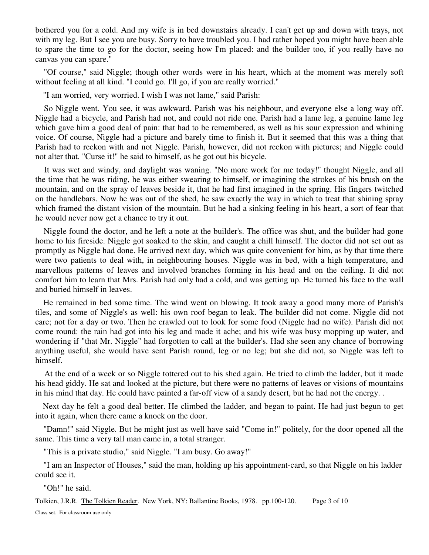bothered you for a cold. And my wife is in bed downstairs already. I can't get up and down with trays, not with my leg. But I see you are busy. Sorry to have troubled you. I had rather hoped you might have been able to spare the time to go for the doctor, seeing how I'm placed: and the builder too, if you really have no canvas you can spare."

"Of course," said Niggle; though other words were in his heart, which at the moment was merely soft without feeling at all kind. "I could go. I'll go, if you are really worried."

"I am worried, very worried. I wish I was not lame," said Parish:

So Niggle went. You see, it was awkward. Parish was his neighbour, and everyone else a long way off. Niggle had a bicycle, and Parish had not, and could not ride one. Parish had a lame leg, a genuine lame leg which gave him a good deal of pain: that had to be remembered, as well as his sour expression and whining voice. Of course, Niggle had a picture and barely time to finish it. But it seemed that this was a thing that Parish had to reckon with and not Niggle. Parish, however, did not reckon with pictures; and Niggle could not alter that. "Curse it!" he said to himself, as he got out his bicycle.

It was wet and windy, and daylight was waning. "No more work for me today!" thought Niggle, and all the time that he was riding, he was either swearing to himself, or imagining the strokes of his brush on the mountain, and on the spray of leaves beside it, that he had first imagined in the spring. His fingers twitched on the handlebars. Now he was out of the shed, he saw exactly the way in which to treat that shining spray which framed the distant vision of the mountain. But he had a sinking feeling in his heart, a sort of fear that he would never now get a chance to try it out.

Niggle found the doctor, and he left a note at the builder's. The office was shut, and the builder had gone home to his fireside. Niggle got soaked to the skin, and caught a chill himself. The doctor did not set out as promptly as Niggle had done. He arrived next day, which was quite convenient for him, as by that time there were two patients to deal with, in neighbouring houses. Niggle was in bed, with a high temperature, and marvellous patterns of leaves and involved branches forming in his head and on the ceiling. It did not comfort him to learn that Mrs. Parish had only had a cold, and was getting up. He turned his face to the wall and buried himself in leaves.

He remained in bed some time. The wind went on blowing. It took away a good many more of Parish's tiles, and some of Niggle's as well: his own roof began to leak. The builder did not come. Niggle did not care; not for a day or two. Then he crawled out to look for some food (Niggle had no wife). Parish did not come round: the rain had got into his leg and made it ache; and his wife was busy mopping up water, and wondering if "that Mr. Niggle" had forgotten to call at the builder's. Had she seen any chance of borrowing anything useful, she would have sent Parish round, leg or no leg; but she did not, so Niggle was left to himself.

At the end of a week or so Niggle tottered out to his shed again. He tried to climb the ladder, but it made his head giddy. He sat and looked at the picture, but there were no patterns of leaves or visions of mountains in his mind that day. He could have painted a far-off view of a sandy desert, but he had not the energy. .

Next day he felt a good deal better. He climbed the ladder, and began to paint. He had just begun to get into it again, when there came a knock on the door.

"Damn!" said Niggle. But he might just as well have said "Come in!" politely, for the door opened all the same. This time a very tall man came in, a total stranger.

"This is a private studio," said Niggle. "I am busy. Go away!"

"I am an Inspector of Houses," said the man, holding up his appointment-card, so that Niggle on his ladder could see it.

"Oh!" he said.

Tolkien, J.R.R. The Tolkien Reader. New York, NY: Ballantine Books, 1978. pp.100-120. Page 3 of 10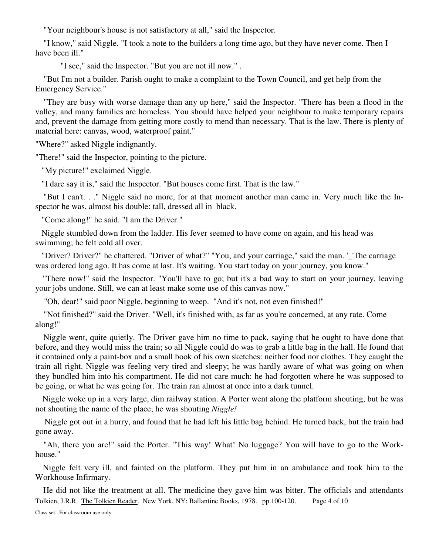"Your neighbour's house is not satisfactory at all," said the Inspector.

"I know," said Niggle. "I took a note to the builders a long time ago, but they have never come. Then I have been ill."

"I see," said the Inspector. "But you are not ill now." .

"But I'm not a builder. Parish ought to make a complaint to the Town Council, and get help from the Emergency Service."

"They are busy with worse damage than any up here," said the Inspector. "There has been a flood in the valley, and many families are homeless. You should have helped your neighbour to make temporary repairs and, prevent the damage from getting more costly to mend than necessary. That is the law. There is plenty of material here: canvas, wood, waterproof paint."

"Where?" asked Niggle indignantly.

"There!" said the Inspector, pointing to the picture.

"My picture!" exclaimed Niggle.

"I dare say it is," said the Inspector. "But houses come first. That is the law."

"But I can't. . ." Niggle said no more, for at that moment another man came in. Very much like the Inspector he was, almost his double: tall, dressed all in black.

"Come along!" he said. "I am the Driver."

 Niggle stumbled down from the ladder. His fever seemed to have come on again, and his head was swimming; he felt cold all over.

 "Driver? Driver?" he chattered. "Driver of what?" "You, and your carriage," said the man. '\_'The carriage was ordered long ago. It has come at last. It's waiting. You start today on your journey, you know."

"There now!" said the Inspector. "You'll have to go; but it's a bad way to start on your journey, leaving your jobs undone. Still, we can at least make some use of this canvas now."

"Oh, dear!" said poor Niggle, beginning to weep. "And it's not, not even finished!"

"Not finished?" said the Driver. "Well, it's finished with, as far as you're concerned, at any rate. Come along!"

Niggle went, quite quietly. The Driver gave him no time to pack, saying that he ought to have done that before, and they would miss the train; so all Niggle could do was to grab a little bag in the hall. He found that it contained only a paint-box and a small book of his own sketches: neither food nor clothes. They caught the train all right. Niggle was feeling very tired and sleepy; he was hardly aware of what was going on when they bundled him into his compartment. He did not care much: he had forgotten where he was supposed to be going, or what he was going for. The train ran almost at once into a dark tunnel.

Niggle woke up in a very large, dim railway station. A Porter went along the platform shouting, but he was not shouting the name of the place; he was shouting *Niggle!* 

Niggle got out in a hurry, and found that he had left his little bag behind. He turned back, but the train had gone away.

"Ah, there you are!" said the Porter. "This way! What! No luggage? You will have to go to the Workhouse."

Niggle felt very ill, and fainted on the platform. They put him in an ambulance and took him to the Workhouse Infirmary.

Tolkien, J.R.R. The Tolkien Reader. New York, NY: Ballantine Books, 1978. pp.100-120. Page 4 of 10 He did not like the treatment at all. The medicine they gave him was bitter. The officials and attendants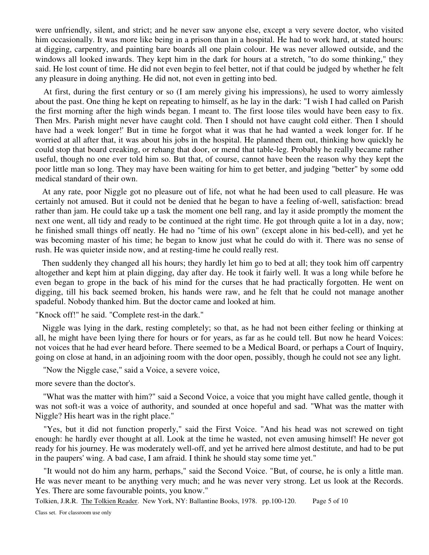were unfriendly, silent, and strict; and he never saw anyone else, except a very severe doctor, who visited him occasionally. It was more like being in a prison than in a hospital. He had to work hard, at stated hours: at digging, carpentry, and painting bare boards all one plain colour. He was never allowed outside, and the windows all looked inwards. They kept him in the dark for hours at a stretch, "to do some thinking," they said. He lost count of time. He did not even begin to feel better, not if that could be judged by whether he felt any pleasure in doing anything. He did not, not even in getting into bed.

At first, during the first century or so (I am merely giving his impressions), he used to worry aimlessly about the past. One thing he kept on repeating to himself, as he lay in the dark: "I wish I had called on Parish the first morning after the high winds began. I meant to. The first loose tiles would have been easy to fix. Then Mrs. Parish might never have caught cold. Then I should not have caught cold either. Then I should have had a week longer!' But in time he forgot what it was that he had wanted a week longer for. If he worried at all after that, it was about his jobs in the hospital. He planned them out, thinking how quickly he could stop that board creaking, or rehang that door, or mend that table-leg. Probably he really became rather useful, though no one ever told him so. But that, of course, cannot have been the reason why they kept the poor little man so long. They may have been waiting for him to get better, and judging "better" by some odd medical standard of their own.

At any rate, poor Niggle got no pleasure out of life, not what he had been used to call pleasure. He was certainly not amused. But it could not be denied that he began to have a feeling of-well, satisfaction: bread rather than jam. He could take up a task the moment one bell rang, and lay it aside promptly the moment the next one went, all tidy and ready to be continued at the right time. He got through quite a lot in a day, now; he finished small things off neatly. He had no "time of his own" (except alone in his bed-cell), and yet he was becoming master of his time; he began to know just what he could do with it. There was no sense of rush. He was quieter inside now, and at resting-time he could really rest.

Then suddenly they changed all his hours; they hardly let him go to bed at all; they took him off carpentry altogether and kept him at plain digging, day after day. He took it fairly well. It was a long while before he even began to grope in the back of his mind for the curses that he had practically forgotten. He went on digging, till his back seemed broken, his hands were raw, and he felt that he could not manage another spadeful. Nobody thanked him. But the doctor came and looked at him.

"Knock off!" he said. "Complete rest-in the dark."

Niggle was lying in the dark, resting completely; so that, as he had not been either feeling or thinking at all, he might have been lying there for hours or for years, as far as he could tell. But now he heard Voices: not voices that he had ever heard before. There seemed to be a Medical Board, or perhaps a Court of Inquiry, going on close at hand, in an adjoining room with the door open, possibly, though he could not see any light.

"Now the Niggle case," said a Voice, a severe voice,

more severe than the doctor's.

 "What was the matter with him?" said a Second Voice, a voice that you might have called gentle, though it was not soft-it was a voice of authority, and sounded at once hopeful and sad. "What was the matter with Niggle? His heart was in the right place."

"Yes, but it did not function properly," said the First Voice. "And his head was not screwed on tight enough: he hardly ever thought at all. Look at the time he wasted, not even amusing himself! He never got ready for his journey. He was moderately well-off, and yet he arrived here almost destitute, and had to be put in the paupers' wing. A bad case, I am afraid. I think he should stay some time yet."

"It would not do him any harm, perhaps," said the Second Voice. "But, of course, he is only a little man. He was never meant to be anything very much; and he was never very strong. Let us look at the Records. Yes. There are some favourable points, you know."

Tolkien, J.R.R. The Tolkien Reader. New York, NY: Ballantine Books, 1978. pp.100-120. Page 5 of 10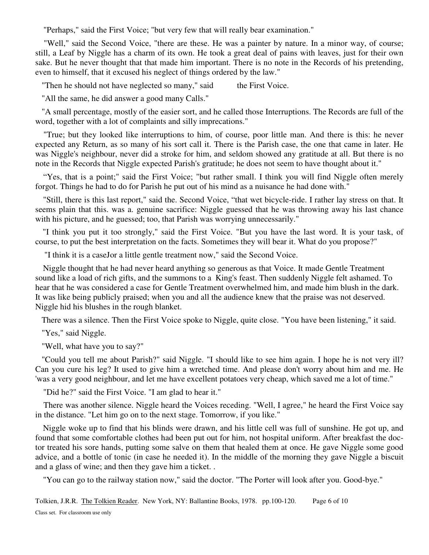"Perhaps," said the First Voice; "but very few that will really bear examination."

"Well," said the Second Voice, "there are these. He was a painter by nature. In a minor way, of course; still, a Leaf by Niggle has a charm of its own. He took a great deal of pains with leaves, just for their own sake. But he never thought that that made him important. There is no note in the Records of his pretending, even to himself, that it excused his neglect of things ordered by the law."

"Then he should not have neglected so many," said the First Voice.

"All the same, he did answer a good many Calls."

 "A small percentage, mostly of the easier sort, and he called those Interruptions. The Records are full of the word, together with a lot of complaints and silly imprecations."

"True; but they looked like interruptions to him, of course, poor little man. And there is this: he never expected any Return, as so many of his sort call it. There is the Parish case, the one that came in later. He was Niggle's neighbour, never did a stroke for him, and seldom showed any gratitude at all. But there is no note in the Records that Niggle expected Parish's gratitude; he does not seem to have thought about it."

"Yes, that is a point;" said the First Voice; "but rather small. I think you will find Niggle often merely forgot. Things he had to do for Parish he put out of his mind as a nuisance he had done with."

"Still, there is this last report," said the. Second Voice, "that wet bicycle-ride. I rather lay stress on that. It seems plain that this. was a. genuine sacrifice: Niggle guessed that he was throwing away his last chance with his picture, and he guessed; too, that Parish was worrying unnecessarily."

"I think you put it too strongly," said the First Voice. "But you have the last word. It is your task, of course, to put the best interpretation on the facts. Sometimes they will bear it. What do you propose?"

"I think it is a caseJor a little gentle treatment now," said the Second Voice.

Niggle thought that he had never heard anything so generous as that Voice. It made Gentle Treatment sound like a load of rich gifts, and the summons to a King's feast. Then suddenly Niggle felt ashamed. To hear that he was considered a case for Gentle Treatment overwhelmed him, and made him blush in the dark. It was like being publicly praised; when you and all the audience knew that the praise was not deserved. Niggle hid his blushes in the rough blanket.

There was a silence. Then the First Voice spoke to Niggle, quite close. "You have been listening," it said.

"Yes," said Niggle.

"Well, what have you to say?"

 "Could you tell me about Parish?" said Niggle. "I should like to see him again. I hope he is not very ill? Can you cure his leg? It used to give him a wretched time. And please don't worry about him and me. He 'was a very good neighbour, and let me have excellent potatoes very cheap, which saved me a lot of time."

"Did he?" said the First Voice. "I am glad to hear it."

There was another silence. Niggle heard the Voices receding. "Well, I agree," he heard the First Voice say in the distance. "Let him go on to the next stage. Tomorrow, if you like."

Niggle woke up to find that his blinds were drawn, and his little cell was full of sunshine. He got up, and found that some comfortable clothes had been put out for him, not hospital uniform. After breakfast the doctor treated his sore hands, putting some salve on them that healed them at once. He gave Niggle some good advice, and a bottle of tonic (in case he needed it). In the middle of the morning they gave Niggle a biscuit and a glass of wine; and then they gave him a ticket. .

"You can go to the railway station now," said the doctor. "The Porter will look after you. Good-bye."

Tolkien, J.R.R. The Tolkien Reader. New York, NY: Ballantine Books, 1978. pp.100-120. Page 6 of 10 Class set. For classroom use only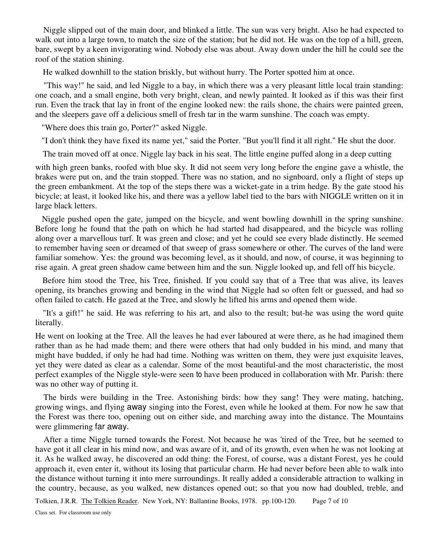Niggle slipped out of the main door, and blinked a little. The sun was very bright. Also he had expected to walk out into a large town, to match the size of the station; but he did not. He was on the top of a hill, green, bare, swept by a keen invigorating wind. Nobody else was about. Away down under the hill he could see the roof of the station shining.

He walked downhill to the station briskly, but without hurry. The Porter spotted him at once.

"This way!" he said, and led Niggle to a bay, in which there was a very pleasant little local train standing: one coach, and a small engine, both very bright, clean, and newly painted. It looked as if this was their first run. Even the track that lay in front of the engine looked new: the rails shone, the chairs were painted green, and the sleepers gave off a delicious smell of fresh tar in the warm sunshine. The coach was empty.

"Where does this train go, Porter?" asked Niggle.

"I don't think they have fixed its name yet," said the Porter. "But you'll find it all right." He shut the door.

The train moved off at once. Niggle lay back in his seat. The little engine puffed along in a deep cutting

with high green banks, roofed with blue sky. It did not seem very long before the engine gave a whistle, the brakes were put on, and the train stopped. There was no station, and no signboard, only a flight of steps up the green embankment. At the top of the steps there was a wicket-gate in a trim hedge. By the gate stood his bicycle; at least, it looked like his, and there was a yellow label tied to the bars with NIGGLE written on it in large black letters.

Niggle pushed open the gate, jumped on the bicycle, and went bowling downhill in the spring sunshine. Before long he found that the path on which he had started had disappeared, and the bicycle was rolling along over a marvellous turf. It was green and close; and yet he could see every blade distinctly. He seemed to remember having seen or dreamed of that sweep of grass somewhere or other. The curves of the land were familiar somehow. Yes: the ground was becoming level, as it should, and now, of course, it was beginning to rise again. A great green shadow came between him and the sun. Niggle looked up, and fell off his bicycle.

Before him stood the Tree, his Tree, finished. If you could say that of a Tree that was alive, its leaves opening, its branches growing and bending in the wind that Niggle had so often felt or guessed, and had so often failed to catch. He gazed at the Tree, and slowly he lifted his arms and opened them wide.

"It's a gift!" he said. He was referring to his art, and also to the result; but-he was using the word quite literally.

He went on looking at the Tree. All the leaves he had ever laboured at were there, as he had imagined them rather than as he had made them; and there were others that had only budded in his mind, and many that might have budded, if only he had had time. Nothing was written on them, they were just exquisite leaves, yet they were dated as clear as a calendar. Some of the most beautiful-and the most characteristic, the most perfect examples of the Niggle style-were seen to have been produced in collaboration with Mr. Parish: there was no other way of putting it.

The birds were building in the Tree. Astonishing birds: how they sang! They were mating, hatching, growing wings, and flying away singing into the Forest, even while he looked at them. For now he saw that the Forest was there too, opening out on either side, and marching away into the distance. The Mountains were glimmering far away.

After a time Niggle turned towards the Forest. Not because he was 'tired of the Tree, but he seemed to have got it all clear in his mind now, and was aware of it, and of its growth, even when he was not looking at it. As he walked away, he discovered an odd thing: the Forest, of course, was a distant Forest, yes he could approach it, even enter it, without its losing that particular charm. He had never before been able to walk into the distance without turning it into mere surroundings. It really added a considerable attraction to walking in the country, because, as you walked, new distances opened out; so that you now had doubled, treble, and

Tolkien, J.R.R. The Tolkien Reader. New York, NY: Ballantine Books, 1978. pp.100-120. Page 7 of 10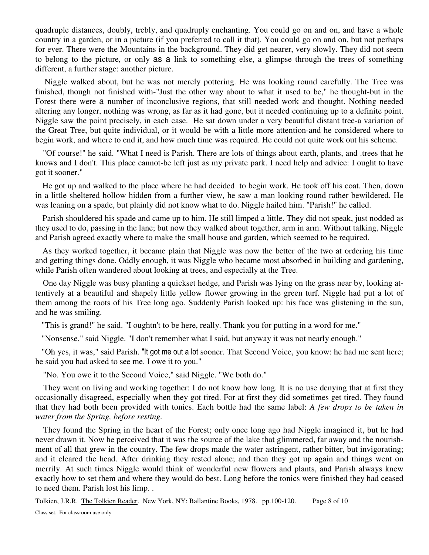quadruple distances, doubly, trebly, and quadruply enchanting. You could go on and on, and have a whole country in a garden, or in a picture (if you preferred to call it that). You could go on and on, but not perhaps for ever. There were the Mountains in the background. They did get nearer, very slowly. They did not seem to belong to the picture, or only as a link to something else, a glimpse through the trees of something different, a further stage: another picture.

Niggle walked about, but he was not merely pottering. He was looking round carefully. The Tree was finished, though not finished with-"Just the other way about to what it used to be," he thought-but in the Forest there were a number of inconclusive regions, that still needed work and thought. Nothing needed altering any longer, nothing was wrong, as far as it had gone, but it needed continuing up to a definite point. Niggle saw the point precisely, in each case. He sat down under a very beautiful distant tree-a variation of the Great Tree, but quite individual, or it would be with a little more attention-and he considered where to begin work, and where to end it, and how much time was required. He could not quite work out his scheme.

"Of course!" he said. "What I need is Parish. There are lots of things about earth, plants, and .trees that he knows and I don't. This place cannot-be left just as my private park. I need help and advice: I ought to have got it sooner."

He got up and walked to the place where he had decided to begin work. He took off his coat. Then, down in a little sheltered hollow hidden from a further view, he saw a man looking round rather bewildered. He was leaning on a spade, but plainly did not know what to do. Niggle hailed him. "Parish!" he called.

Parish shouldered his spade and came up to him. He still limped a little. They did not speak, just nodded as they used to do, passing in the lane; but now they walked about together, arm in arm. Without talking, Niggle and Parish agreed exactly where to make the small house and garden, which seemed to be required.

As they worked together, it became plain that Niggle was now the better of the two at ordering his time and getting things done. Oddly enough, it was Niggle who became most absorbed in building and gardening, while Parish often wandered about looking at trees, and especially at the Tree.

One day Niggle was busy planting a quickset hedge, and Parish was lying on the grass near by, looking attentively at a beautiful and shapely little yellow flower growing in the green turf. Niggle had put a lot of them among the roots of his Tree long ago. Suddenly Parish looked up: his face was glistening in the sun, and he was smiling.

"This is grand!" he said. "I oughtn't to be here, really. Thank you for putting in a word for me."

"Nonsense," said Niggle. "I don't remember what I said, but anyway it was not nearly enough."

 "Oh yes, it was," said Parish. "It got me out a lot sooner. That Second Voice, you know: he had me sent here; he said you had asked to see me. I owe it to you."

"No. You owe it to the Second Voice," said Niggle. "We both do."

They went on living and working together: I do not know how long. It is no use denying that at first they occasionally disagreed, especially when they got tired. For at first they did sometimes get tired. They found that they had both been provided with tonics. Each bottle had the same label: *A few drops to be taken in water from the Spring, before resting.* 

They found the Spring in the heart of the Forest; only once long ago had Niggle imagined it, but he had never drawn it. Now he perceived that it was the source of the lake that glimmered, far away and the nourishment of all that grew in the country. The few drops made the water astringent, rather bitter, but invigorating; and it cleared the head. After drinking they rested alone; and then they got up again and things went on merrily. At such times Niggle would think of wonderful new flowers and plants, and Parish always knew exactly how to set them and where they would do best. Long before the tonics were finished they had ceased to need them. Parish lost his limp. .

Tolkien, J.R.R. The Tolkien Reader. New York, NY: Ballantine Books, 1978. pp.100-120. Page 8 of 10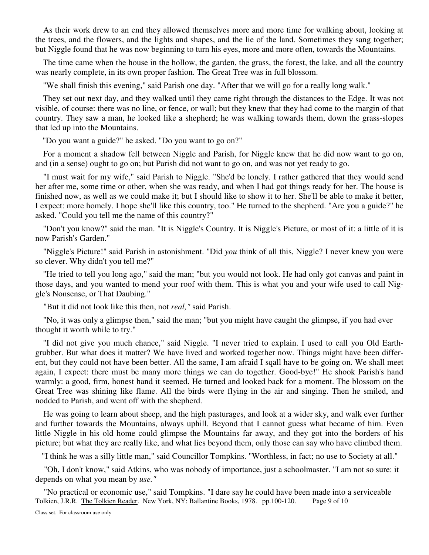As their work drew to an end they allowed themselves more and more time for walking about, looking at the trees, and the flowers, and the lights and shapes, and the lie of the land. Sometimes they sang together; but Niggle found that he was now beginning to turn his eyes, more and more often, towards the Mountains.

The time came when the house in the hollow, the garden, the grass, the forest, the lake, and all the country was nearly complete, in its own proper fashion. The Great Tree was in full blossom.

"We shall finish this evening," said Parish one day. "After that we will go for a really long walk."

They set out next day, and they walked until they came right through the distances to the Edge. It was not visible, of course: there was no line, or fence, or wall; but they knew that they had come to the margin of that country. They saw a man, he looked like a shepherd; he was walking towards them, down the grass-slopes that led up into the Mountains.

"Do you want a guide?" he asked. "Do you want to go on?"

For a moment a shadow fell between Niggle and Parish, for Niggle knew that he did now want to go on, and (in a sense) ought to go on; but Parish did not want to go on, and was not yet ready to go.

"I must wait for my wife," said Parish to Niggle. "She'd be lonely. I rather gathered that they would send her after me, some time or other, when she was ready, and when I had got things ready for her. The house is finished now, as well as we could make it; but I should like to show it to her. She'll be able to make it better, I expect: more homely. I hope she'll like this country, too." He turned to the shepherd. "Are you a guide?" he asked. "Could you tell me the name of this country?"

"Don't you know?" said the man. "It is Niggle's Country. It is Niggle's Picture, or most of it: a little of it is now Parish's Garden."

"Niggle's Picture!" said Parish in astonishment. "Did *you* think of all this, Niggle? I never knew you were so clever. Why didn't you tell me?"

"He tried to tell you long ago," said the man; "but you would not look. He had only got canvas and paint in those days, and you wanted to mend your roof with them. This is what you and your wife used to call Niggle's Nonsense, or That Daubing."

"But it did not look like this then, not *real,"* said Parish.

"No, it was only a glimpse then," said the man; "but you might have caught the glimpse, if you had ever thought it worth while to try."

"I did not give you much chance," said Niggle. "I never tried to explain. I used to call you Old Earthgrubber. But what does it matter? We have lived and worked together now. Things might have been different, but they could not have been better. All the same, I am afraid I sqall have to be going on. We shall meet again, I expect: there must be many more things we can do together. Good-bye!" He shook Parish's hand warmly: a good, firm, honest hand it seemed. He turned and looked back for a moment. The blossom on the Great Tree was shining like flame. All the birds were flying in the air and singing. Then he smiled, and nodded to Parish, and went off with the shepherd.

He was going to learn about sheep, and the high pasturages, and look at a wider sky, and walk ever further and further towards the Mountains, always uphill. Beyond that I cannot guess what became of him. Even little Niggle in his old home could glimpse the Mountains far away, and they got into the borders of his picture; but what they are really like, and what lies beyond them, only those can say who have climbed them.

"I think he was a silly little man," said Councillor Tompkins. "Worthless, in fact; no use to Society at all."

"Oh, I don't know," said Atkins, who was nobody of importance, just a schoolmaster. "I am not so sure: it depends on what you mean by *use."* 

Tolkien, J.R.R. The Tolkien Reader. New York, NY: Ballantine Books, 1978. pp.100-120. Page 9 of 10 "No practical or economic use," said Tompkins. "I dare say he could have been made into a serviceable